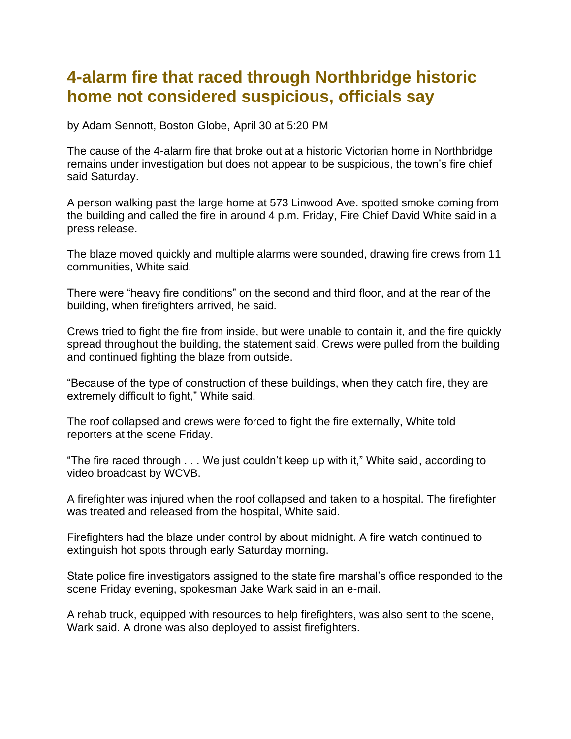## **4-alarm fire that raced through Northbridge historic home not considered suspicious, officials say**

by Adam Sennott, Boston Globe, April 30 at 5:20 PM

The cause of the 4-alarm fire that broke out at a historic Victorian home in Northbridge remains under investigation but does not appear to be suspicious, the town's fire chief said Saturday.

A person walking past the large home at 573 Linwood Ave. spotted smoke coming from the building and called the fire in around 4 p.m. Friday, Fire Chief David White said in a press release.

The blaze moved quickly and multiple alarms were sounded, drawing fire crews from 11 communities, White said.

There were "heavy fire conditions" on the second and third floor, and at the rear of the building, when firefighters arrived, he said.

Crews tried to fight the fire from inside, but were unable to contain it, and the fire quickly spread throughout the building, the statement said. Crews were pulled from the building and continued fighting the blaze from outside.

"Because of the type of construction of these buildings, when they catch fire, they are extremely difficult to fight," White said.

The roof collapsed and crews were forced to fight the fire externally, White told reporters at the scene Friday.

"The fire raced through . . . We just couldn't keep up with it," White said, according to video broadcast by WCVB.

A firefighter was injured when the roof collapsed and taken to a hospital. The firefighter was treated and released from the hospital, White said.

Firefighters had the blaze under control by about midnight. A fire watch continued to extinguish hot spots through early Saturday morning.

State police fire investigators assigned to the state fire marshal's office responded to the scene Friday evening, spokesman Jake Wark said in an e-mail.

A rehab truck, equipped with resources to help firefighters, was also sent to the scene, Wark said. A drone was also deployed to assist firefighters.